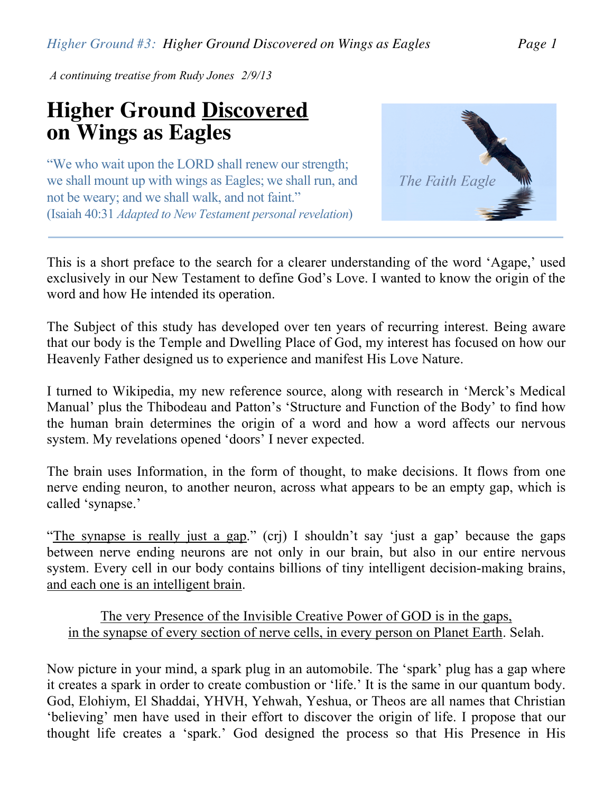*Higher Ground #3: Higher Ground Discovered on Wings as Eagles Page 1*

*A continuing treatise from Rudy Jones 2/9/13*

## **Higher Ground Discovered on Wings as Eagles**

"We who wait upon the LORD shall renew our strength; we shall mount up with wings as Eagles; we shall run, and not be weary; and we shall walk, and not faint." (Isaiah 40:31 *Adapted to New Testament personal revelation*)



This is a short preface to the search for a clearer understanding of the word 'Agape,' used exclusively in our New Testament to define God's Love. I wanted to know the origin of the word and how He intended its operation.

The Subject of this study has developed over ten years of recurring interest. Being aware that our body is the Temple and Dwelling Place of God, my interest has focused on how our Heavenly Father designed us to experience and manifest His Love Nature.

I turned to Wikipedia, my new reference source, along with research in 'Merck's Medical Manual' plus the Thibodeau and Patton's 'Structure and Function of the Body' to find how the human brain determines the origin of a word and how a word affects our nervous system. My revelations opened 'doors' I never expected.

The brain uses Information, in the form of thought, to make decisions. It flows from one nerve ending neuron, to another neuron, across what appears to be an empty gap, which is called 'synapse.'

"The synapse is really just a gap." (crj) I shouldn't say 'just a gap' because the gaps between nerve ending neurons are not only in our brain, but also in our entire nervous system. Every cell in our body contains billions of tiny intelligent decision-making brains, and each one is an intelligent brain.

## The very Presence of the Invisible Creative Power of GOD is in the gaps, in the synapse of every section of nerve cells, in every person on Planet Earth. Selah.

Now picture in your mind, a spark plug in an automobile. The 'spark' plug has a gap where it creates a spark in order to create combustion or 'life.' It is the same in our quantum body. God, Elohiym, El Shaddai, YHVH, Yehwah, Yeshua, or Theos are all names that Christian 'believing' men have used in their effort to discover the origin of life. I propose that our thought life creates a 'spark.' God designed the process so that His Presence in His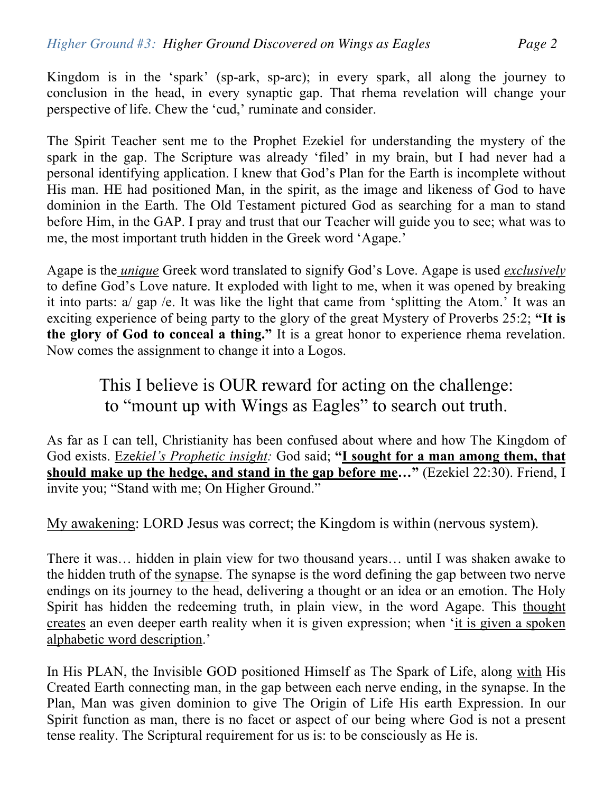Kingdom is in the 'spark' (sp-ark, sp-arc); in every spark, all along the journey to conclusion in the head, in every synaptic gap. That rhema revelation will change your perspective of life. Chew the 'cud,' ruminate and consider.

The Spirit Teacher sent me to the Prophet Ezekiel for understanding the mystery of the spark in the gap. The Scripture was already 'filed' in my brain, but I had never had a personal identifying application. I knew that God's Plan for the Earth is incomplete without His man. HE had positioned Man, in the spirit, as the image and likeness of God to have dominion in the Earth. The Old Testament pictured God as searching for a man to stand before Him, in the GAP. I pray and trust that our Teacher will guide you to see; what was to me, the most important truth hidden in the Greek word 'Agape.'

Agape is the *unique* Greek word translated to signify God's Love. Agape is used *exclusively* to define God's Love nature. It exploded with light to me, when it was opened by breaking it into parts: a/ gap /e. It was like the light that came from 'splitting the Atom.' It was an exciting experience of being party to the glory of the great Mystery of Proverbs 25:2; **"It is the glory of God to conceal a thing."** It is a great honor to experience rhema revelation. Now comes the assignment to change it into a Logos.

This I believe is OUR reward for acting on the challenge: to "mount up with Wings as Eagles" to search out truth.

As far as I can tell, Christianity has been confused about where and how The Kingdom of God exists. Eze*kiel's Prophetic insight:* God said; **"I sought for a man among them, that should make up the hedge, and stand in the gap before me…"** (Ezekiel 22:30). Friend, I invite you; "Stand with me; On Higher Ground."

My awakening: LORD Jesus was correct; the Kingdom is within (nervous system).

There it was… hidden in plain view for two thousand years… until I was shaken awake to the hidden truth of the synapse. The synapse is the word defining the gap between two nerve endings on its journey to the head, delivering a thought or an idea or an emotion. The Holy Spirit has hidden the redeeming truth, in plain view, in the word Agape. This thought creates an even deeper earth reality when it is given expression; when 'it is given a spoken alphabetic word description.'

In His PLAN, the Invisible GOD positioned Himself as The Spark of Life, along with His Created Earth connecting man, in the gap between each nerve ending, in the synapse. In the Plan, Man was given dominion to give The Origin of Life His earth Expression. In our Spirit function as man, there is no facet or aspect of our being where God is not a present tense reality. The Scriptural requirement for us is: to be consciously as He is.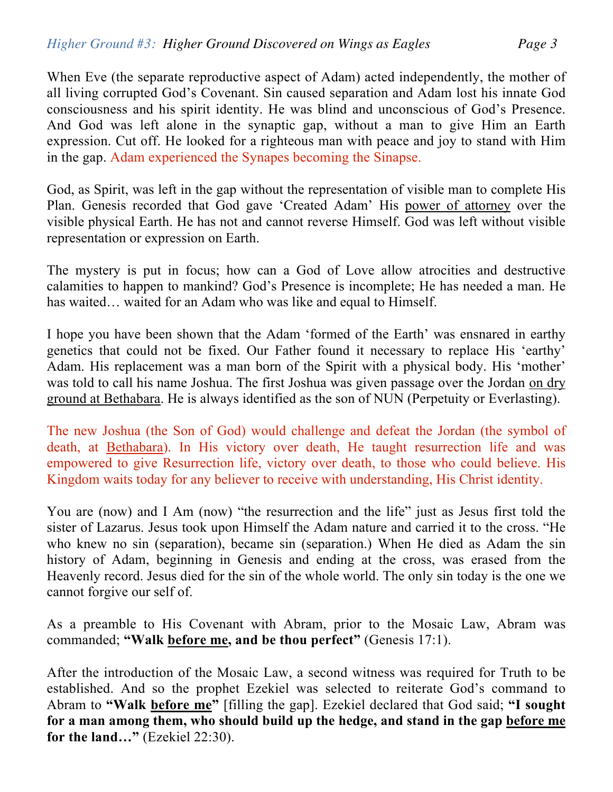When Eve (the separate reproductive aspect of Adam) acted independently, the mother of all living corrupted God's Covenant. Sin caused separation and Adam lost his innate God consciousness and his spirit identity. He was blind and unconscious of God's Presence. And God was left alone in the synaptic gap, without a man to give Him an Earth expression. Cut off. He looked for a righteous man with peace and joy to stand with Him in the gap. Adam experienced the Synapes becoming the Sinapse.

God, as Spirit, was left in the gap without the representation of visible man to complete His Plan. Genesis recorded that God gave 'Created Adam' His power of attorney over the visible physical Earth. He has not and cannot reverse Himself. God was left without visible representation or expression on Earth.

The mystery is put in focus; how can a God of Love allow atrocities and destructive calamities to happen to mankind? God's Presence is incomplete; He has needed a man. He has waited… waited for an Adam who was like and equal to Himself.

I hope you have been shown that the Adam 'formed of the Earth' was ensnared in earthy genetics that could not be fixed. Our Father found it necessary to replace His 'earthy' Adam. His replacement was a man born of the Spirit with a physical body. His 'mother' was told to call his name Joshua. The first Joshua was given passage over the Jordan on dry ground at Bethabara. He is always identified as the son of NUN (Perpetuity or Everlasting).

The new Joshua (the Son of God) would challenge and defeat the Jordan (the symbol of death, at Bethabara). In His victory over death, He taught resurrection life and was empowered to give Resurrection life, victory over death, to those who could believe. His Kingdom waits today for any believer to receive with understanding, His Christ identity.

You are (now) and I Am (now) "the resurrection and the life" just as Jesus first told the sister of Lazarus. Jesus took upon Himself the Adam nature and carried it to the cross. "He who knew no sin (separation), became sin (separation.) When He died as Adam the sin history of Adam, beginning in Genesis and ending at the cross, was erased from the Heavenly record. Jesus died for the sin of the whole world. The only sin today is the one we cannot forgive our self of.

As a preamble to His Covenant with Abram, prior to the Mosaic Law, Abram was commanded; **"Walk before me, and be thou perfect"** (Genesis 17:1).

After the introduction of the Mosaic Law, a second witness was required for Truth to be established. And so the prophet Ezekiel was selected to reiterate God's command to Abram to **"Walk before me"** [filling the gap]. Ezekiel declared that God said; **"I sought for a man among them, who should build up the hedge, and stand in the gap before me for the land…"** (Ezekiel 22:30).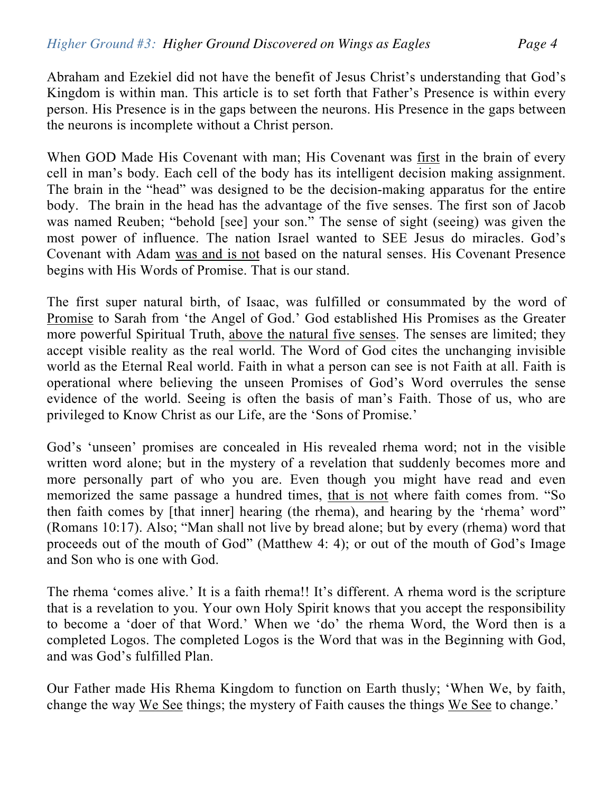Abraham and Ezekiel did not have the benefit of Jesus Christ's understanding that God's Kingdom is within man. This article is to set forth that Father's Presence is within every person. His Presence is in the gaps between the neurons. His Presence in the gaps between the neurons is incomplete without a Christ person.

When GOD Made His Covenant with man; His Covenant was first in the brain of every cell in man's body. Each cell of the body has its intelligent decision making assignment. The brain in the "head" was designed to be the decision-making apparatus for the entire body. The brain in the head has the advantage of the five senses. The first son of Jacob was named Reuben; "behold [see] your son." The sense of sight (seeing) was given the most power of influence. The nation Israel wanted to SEE Jesus do miracles. God's Covenant with Adam was and is not based on the natural senses. His Covenant Presence begins with His Words of Promise. That is our stand.

The first super natural birth, of Isaac, was fulfilled or consummated by the word of Promise to Sarah from 'the Angel of God.' God established His Promises as the Greater more powerful Spiritual Truth, above the natural five senses. The senses are limited; they accept visible reality as the real world. The Word of God cites the unchanging invisible world as the Eternal Real world. Faith in what a person can see is not Faith at all. Faith is operational where believing the unseen Promises of God's Word overrules the sense evidence of the world. Seeing is often the basis of man's Faith. Those of us, who are privileged to Know Christ as our Life, are the 'Sons of Promise.'

God's 'unseen' promises are concealed in His revealed rhema word; not in the visible written word alone; but in the mystery of a revelation that suddenly becomes more and more personally part of who you are. Even though you might have read and even memorized the same passage a hundred times, that is not where faith comes from. "So then faith comes by [that inner] hearing (the rhema), and hearing by the 'rhema' word" (Romans 10:17). Also; "Man shall not live by bread alone; but by every (rhema) word that proceeds out of the mouth of God" (Matthew 4: 4); or out of the mouth of God's Image and Son who is one with God.

The rhema 'comes alive.' It is a faith rhema!! It's different. A rhema word is the scripture that is a revelation to you. Your own Holy Spirit knows that you accept the responsibility to become a 'doer of that Word.' When we 'do' the rhema Word, the Word then is a completed Logos. The completed Logos is the Word that was in the Beginning with God, and was God's fulfilled Plan.

Our Father made His Rhema Kingdom to function on Earth thusly; 'When We, by faith, change the way We See things; the mystery of Faith causes the things We See to change.'